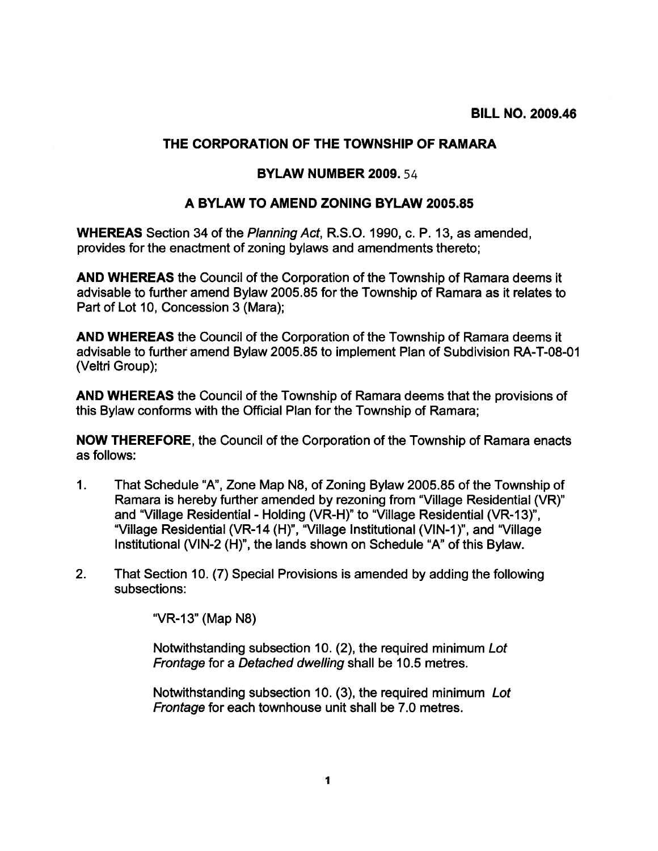## THE CORPORATION OF THE TOWNSHIP OF RAMARA

## BYLAW NUMBER 2009.54

## A BYLAW TO AMEND ZONING BYLAW 2005.85

WHEREAS Section 34 of the Planning Act, R.S.O. 1990, c. P. 13, as amended, provides for the enactment of zoning bylaws and amendments thereto;

AND WHEREAS the Council of the Corporation of the Township of Ramara deems it advisable to further amend Bylaw 2005.85 for the Township of Ramara as it relates to Part of Lot 10, Concession 3 (Mara);

AND WHEREAS the Council of the Corporation of the Township of Ramara deems it advisable to further amend Bylaw 2005.85 to implement Plan of Subdivision RA-T-08-01 (Veltri Group);

AND WHEREAS the Council of the Township of Ramara deems that the provisions of this Bylaw conforms with the Official Plan for the Township of Ramara;

NOW THEREFORE, the Council of the Corporation of the Township of Ramara enacts as follows:

- 1. That Schedule "A", Zone Map N8, of Zoning Bylaw 2005.85 of the Township of Ramara is hereby further amended by rezoning from "Village Residential (VR)" and "Village Residential - Holding (yR-H)" to "Village Residential (VR-13)", "Village Residential (VR-14 (H)", "Village Institutional (VIN-1)", and "Village Institutional (VIN-2 (H)", the lands shown on Schedule "A" of this Bylaw.
- 2. That Section 10. (7) Special Provisions is amended by adding the following subsections:

"VR-13" (Map N8)

Notwithstanding subsection 10. (2), the required minimum Lot Frontage for <sup>a</sup> Detached dwelling shall be 10.5 metres.

Notwithstanding subsection 10. (3), the required minimum Lot Frontage for each townhouse unit shall be 7.0 metres.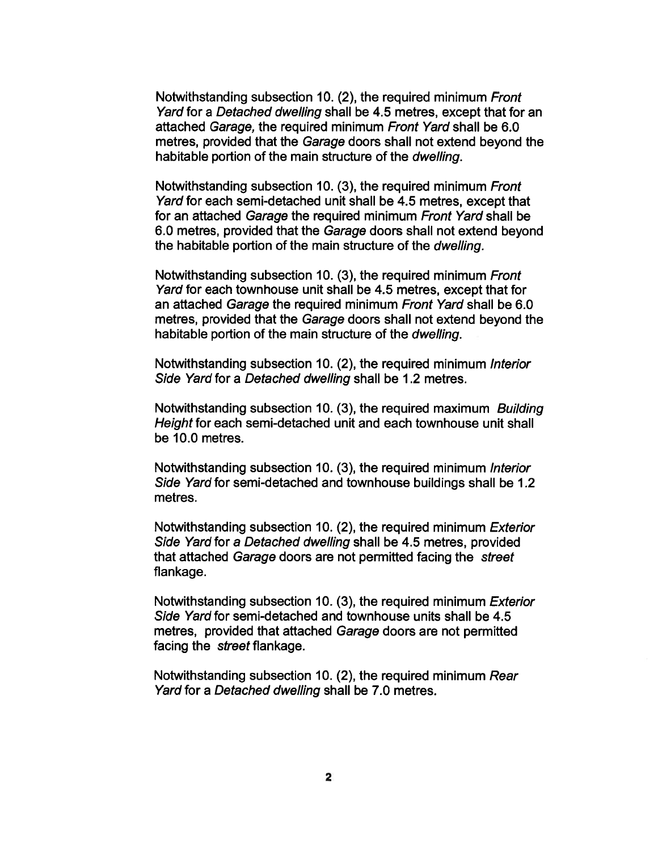Notwithstanding subsection 10. (2), the required minimum Front Yard for <sup>a</sup> Detached dwelling shall be 4.5 metres, excep<sup>t</sup> that for an attached Garage, the required minimum Front Yard shall be 6.0 metres, provided that the Garage doors shall not extend beyond the habitable portion of the main structure of the dwelling.

Notwithstanding subsection 10. (3), the required minimum Front Yard for each semi-detached unit shall be 4.5 metres, excep<sup>t</sup> that for an attached Garage the required minimum Front Yard shall be 6.0 metres, provided that the Garage doors shall not extend beyond the habitable portion of the main structure of the dwelling.

Notwithstanding subsection 10. (3), the required minimum Front Yard for each townhouse unit shall be 4.5 metres, excep<sup>t</sup> that for an attached Garage the required minimum Front Yard shall be 6.0 metres, provided that the Garage doors shall not extend beyond the habitable portion of the main structure of the *dwelling*.

Notwithstanding subsection 10. (2), the required minimum Interior Side Yard for <sup>a</sup> Detached dwelling shall be 1.2 metres.

Notwithstanding subsection 10. (3), the required maximum Building Height for each semi-detached unit and each townhouse unit shall be 10.0 metres.

Notwithstanding subsection 10. (3), the required minimum Interior Side Yard for semi-detached and townhouse buildings shall be 1.2 metres.

Notwithstanding subsection 10. (2), the required minimum Exterior Side Yard for <sup>a</sup> Detached dwelling shall be 4.5 metres, provided that attached Garage doors are not permitted facing the street flankage.

Notwithstanding subsection 10. (3), the required minimum Exterior Side Yard for semi-detached and townhouse units shall be 4.5 metres, provided that attached Garage doors are not permitted facing the street flankage.

Notwithstanding subsection 10. (2), the required minimum Rear Yard for <sup>a</sup> Detached dwelling shall be 7.0 metres.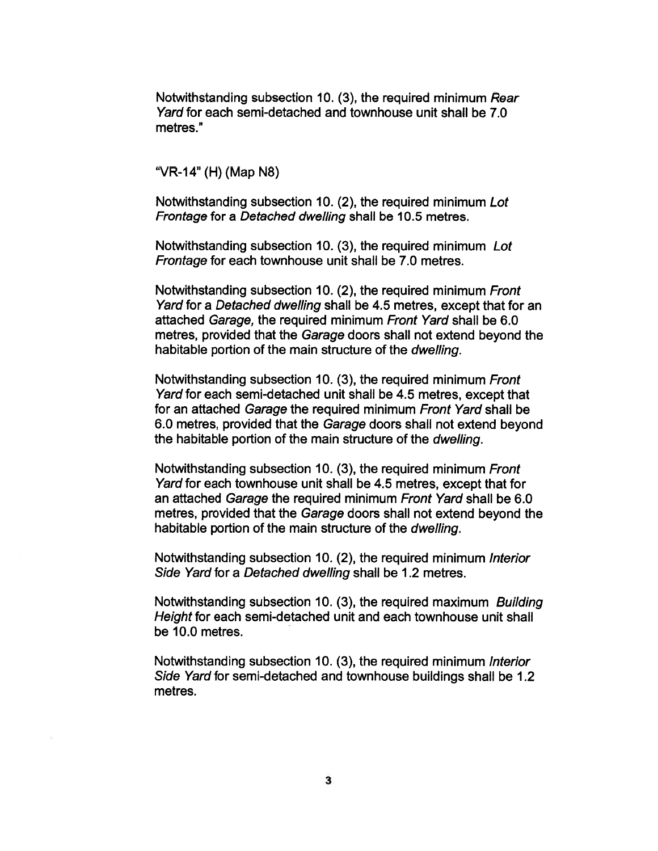Notwithstanding subsection 10. (3), the required minimum Rear Yard for each semi-detached and townhouse unit shall be 7.0 metres."

"VR-14" (H) (Map N8)

Notwithstanding subsection 10. (2), the required minimum Lot Frontage for <sup>a</sup> Detached dwelling shall be 10.5 metres.

Notwithstanding subsection 10. (3), the required minimum Lot Frontage for each townhouse unit shall be 7.0 metres.

Notwithstanding subsection 10. (2), the required minimum Front Yard for <sup>a</sup> Detached dwelling shall be 4.5 metres, excep<sup>t</sup> that for an attached Garage, the required minimum Front Yard shall be 6.0 metres, provided that the Garage doors shall not extend beyond the habitable portion of the main structure of the dwelling.

Notwithstanding subsection 10. (3), the required minimum Front Yard for each semi-detached unit shall be 4.5 metres, excep<sup>t</sup> that for an attached Garage the required minimum Front Yard shall be 6.0 metres, provided that the Garage doors shall not extend beyond the habitable portion of the main structure of the dwelling.

Notwithstanding subsection 10. (3), the required minimum Front Yard for each townhouse unit shall be 4.5 metres, excep<sup>t</sup> that for an attached Garage the required minimum Front Yard shall be 6.0 metres, provided that the Garage doors shall not extend beyond the habitable portion of the main structure of the dwelling.

Notwithstanding subsection 10. (2), the required minimum Interior Side Yard for <sup>a</sup> Detached dwelling shall be 1.2 metres.

Notwithstanding subsection 10. (3), the required maximum Building Height for each semi-detached unit and each townhouse unit shall be 10.0 metres.

Notwithstanding subsection 10. (3), the required minimum Interior Side Yard for semi-detached and townhouse buildings shall be 1.2 metres.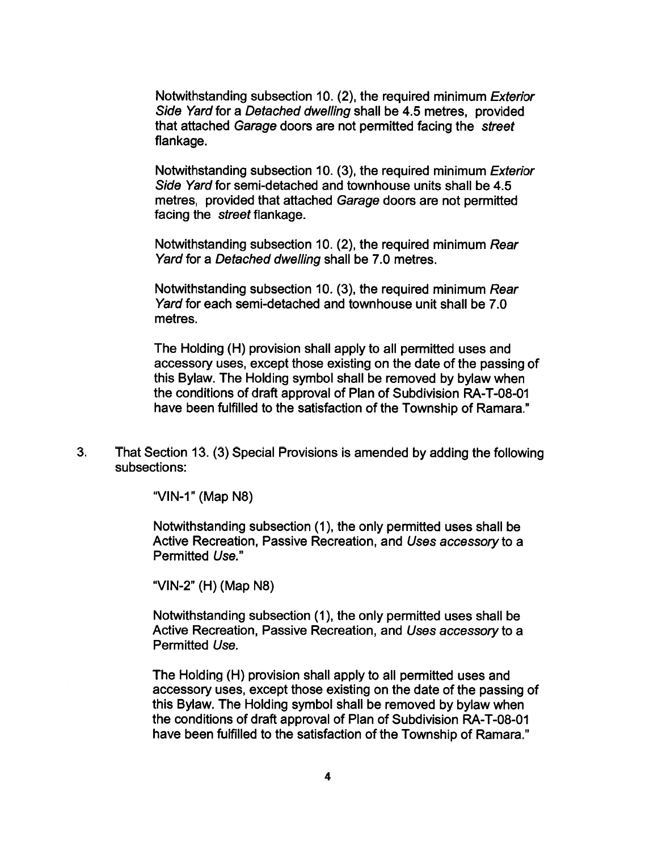Notwithstanding subsection 10. (2), the required minimum Exterior Side Yard for <sup>a</sup> Detached dwelling shall be 4.5 metres, provided that attached Garage doors are not permitted facing the street flankage.

Notwithstanding subsection 10. (3), the required minimum Exterior Side Yard for semi-detached and townhouse units shall be 4.5 metres, provided that attached Garage doors are not permitted facing the street flankage.

Notwithstanding subsection 10. (2), the required minimum Rear Yard for <sup>a</sup> Detached dwelling shall be 7.0 metres.

Notwithstanding subsection 10. (3), the required minimum Rear Yard for each semi-detached and townhouse unit shall be 7.0 metres.

The Holding (H) provision shall apply to all permitted uses and accessory uses, excep<sup>t</sup> those existing on the date of the passing of this Bylaw. The Holding symbol shall be removed by bylaw when the conditions of draft approval of Plan of Subdivision RA-T-08-01 have been fulfilled to the satisfaction of the Township of Ramara."

3. That Section 13. (3) Special Provisions is amended by adding the following subsections:

"VIN-1" (Map N8)

Notwithstanding subsection (1), the only permitted uses shall be Active Recreation, Passive Recreation, and Uses accessory to <sup>a</sup> Permitted Use."

"VIN-2" (H) (Map N8)

Notwithstanding subsection (1), the only permitted uses shall be Active Recreation, Passive Recreation, and Uses accessory to <sup>a</sup> Permitted Use.

The Holding (H) provision shall apply to all permitted uses and accessory uses, excep<sup>t</sup> those existing on the date of the passing of this Bylaw. The Holding symbol shall be removed by bylaw when the conditions of draft approval of Plan of Subdivision RA-T-08-01 have been fulfilled to the satisfaction of the Township of Ramara."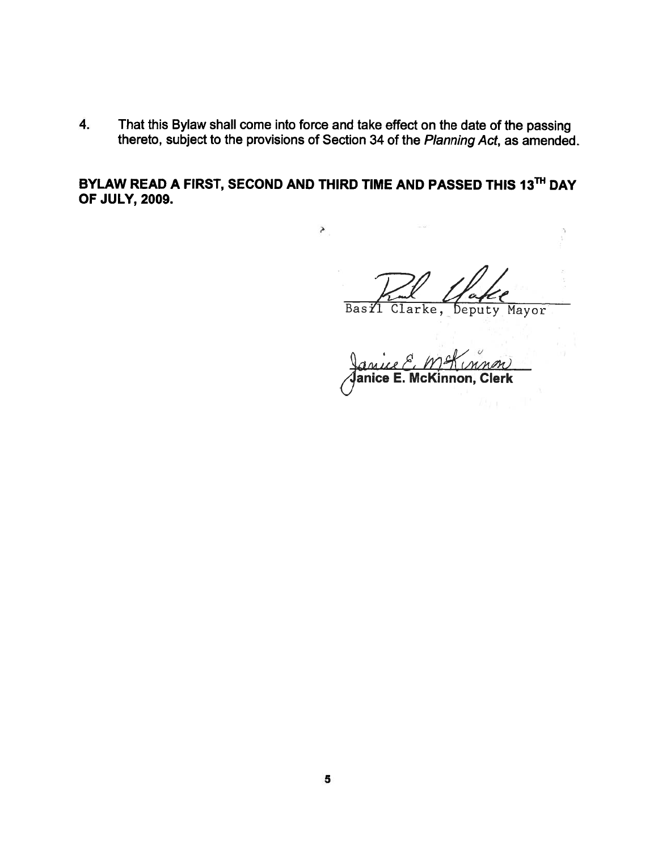4. That this Bylaw shall come into force and take effect on the date of the passing thereto, subject to the provisions of Section 34 of the Planning Act, as amended.

BYLAW READ A FIRST, SECOND AND THIRD TIME AND PASSED THIS 13<sup>TH</sup> DAY OF JULY, 2009.

ð

Basil Clarke, Deputy Mayor

hA anice E. McKinnon, Clerk